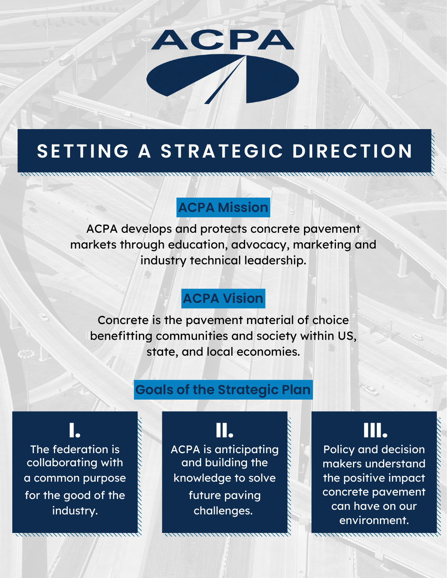

# **SETTING A STRATEGIC DIRECTION**

### **ACPA Mission**

ACPA develops and protects concrete pavement markets through education, advocacy, marketing and industry technical leadership.

## **ACPA Vision**

Concrete is the pavement material of choice benefitting communities and society within US, state, and local economies.

### **Goals of the Strategic Plan**

for the good of the industry. **I.** The federation is collaborating with a common purpose

future paving challenges. **II.** ACPA is anticipating and building the knowledge to solve

**III.**

Policy and decision makers understand the positive impact concrete pavement can have on our environment.